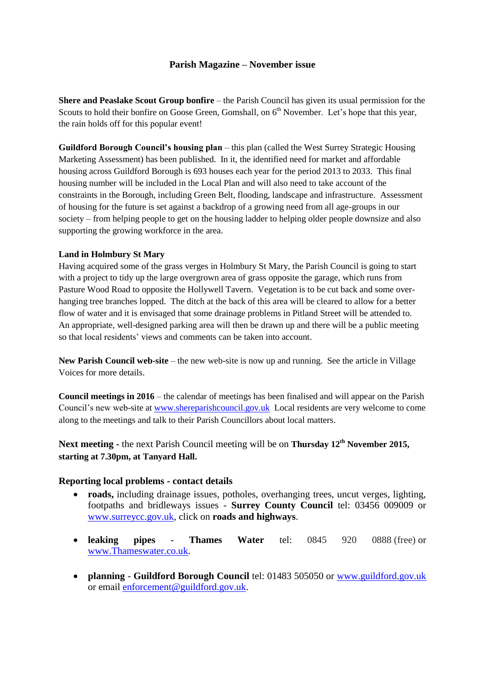## **Parish Magazine – November issue**

**Shere and Peaslake Scout Group bonfire** – the Parish Council has given its usual permission for the Scouts to hold their bonfire on Goose Green, Gomshall, on  $6<sup>th</sup>$  November. Let's hope that this year, the rain holds off for this popular event!

**Guildford Borough Council's housing plan** – this plan (called the West Surrey Strategic Housing Marketing Assessment) has been published. In it, the identified need for market and affordable housing across Guildford Borough is 693 houses each year for the period 2013 to 2033. This final housing number will be included in the Local Plan and will also need to take account of the constraints in the Borough, including Green Belt, flooding, landscape and infrastructure. Assessment of housing for the future is set against a backdrop of a growing need from all age-groups in our society – from helping people to get on the housing ladder to helping older people downsize and also supporting the growing workforce in the area.

## **Land in Holmbury St Mary**

Having acquired some of the grass verges in Holmbury St Mary, the Parish Council is going to start with a project to tidy up the large overgrown area of grass opposite the garage, which runs from Pasture Wood Road to opposite the Hollywell Tavern. Vegetation is to be cut back and some overhanging tree branches lopped. The ditch at the back of this area will be cleared to allow for a better flow of water and it is envisaged that some drainage problems in Pitland Street will be attended to. An appropriate, well-designed parking area will then be drawn up and there will be a public meeting so that local residents' views and comments can be taken into account.

**New Parish Council web-site** – the new web-site is now up and running. See the article in Village Voices for more details.

**Council meetings in 2016** – the calendar of meetings has been finalised and will appear on the Parish Council's new web-site at [www.shereparishcouncil.gov.uk](http://www.shereparishcouncil.gov.uk/) Local residents are very welcome to come along to the meetings and talk to their Parish Councillors about local matters.

**Next meeting -** the next Parish Council meeting will be on **Thursday 12 th November 2015, starting at 7.30pm, at Tanyard Hall.**

## **Reporting local problems - contact details**

- **roads,** including drainage issues, potholes, overhanging trees, uncut verges, lighting, footpaths and bridleways issues - **Surrey County Council** tel: 03456 009009 or [www.surreycc.gov.uk,](http://www.surreycc.gov.uk/) click on **roads and highways**.
- **leaking pipes Thames Water** tel: 0845 920 0888 (free) or [www.Thameswater.co.uk.](http://www.thameswater.co.uk/)
- **planning Guildford Borough Council** tel: 01483 505050 or [www.guildford.gov.uk](http://www.guildford.gov.uk/) or email [enforcement@guildford.gov.uk.](mailto:enforcement@guildford.gov.uk)